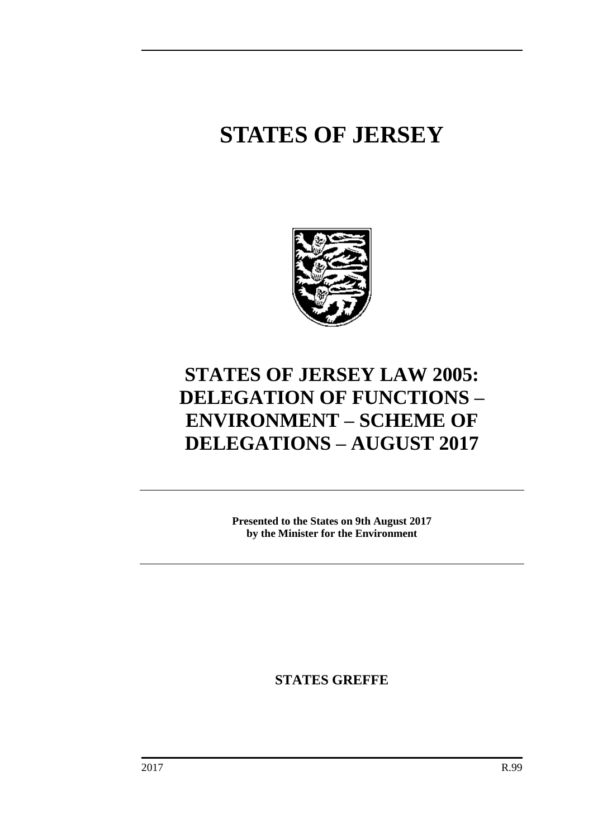# **STATES OF JERSEY**



# **STATES OF JERSEY LAW 2005: DELEGATION OF FUNCTIONS – ENVIRONMENT – SCHEME OF DELEGATIONS – AUGUST 2017**

**Presented to the States on 9th August 2017 by the Minister for the Environment**

**STATES GREFFE**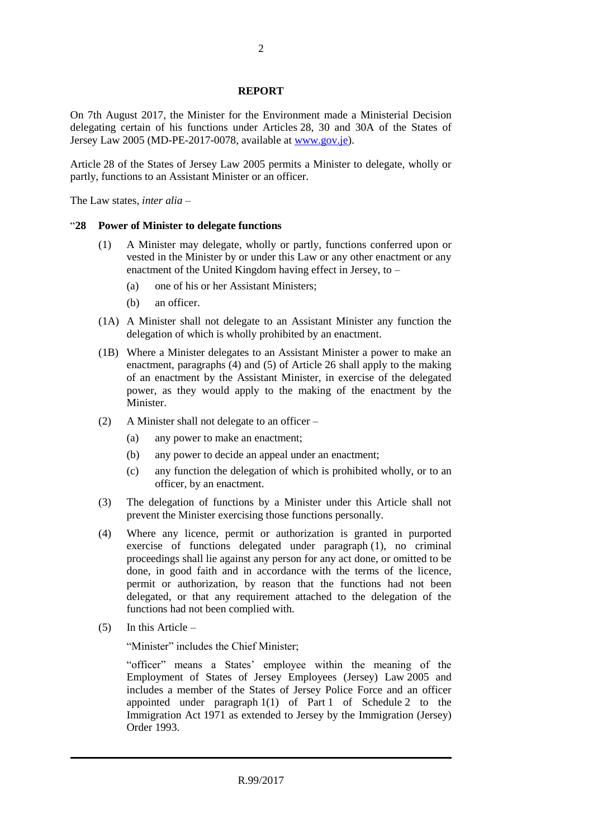#### **REPORT**

On 7th August 2017, the Minister for the Environment made a Ministerial Decision delegating certain of his functions under Articles 28, 30 and 30A of the States of Jersey Law 2005 (MD-PE-2017-0078, available a[t www.gov.je\)](http://www.gov.je/).

Article 28 of the States of Jersey Law 2005 permits a Minister to delegate, wholly or partly, functions to an Assistant Minister or an officer.

The Law states, *inter alia* –

#### "**28 Power of Minister to delegate functions**

- (1) A Minister may delegate, wholly or partly, functions conferred upon or vested in the Minister by or under this Law or any other enactment or any enactment of the United Kingdom having effect in Jersey, to –
	- (a) one of his or her Assistant Ministers;
	- (b) an officer.
- (1A) A Minister shall not delegate to an Assistant Minister any function the delegation of which is wholly prohibited by an enactment.
- (1B) Where a Minister delegates to an Assistant Minister a power to make an enactment, paragraphs (4) and (5) of Article 26 shall apply to the making of an enactment by the Assistant Minister, in exercise of the delegated power, as they would apply to the making of the enactment by the Minister.
- (2) A Minister shall not delegate to an officer
	- (a) any power to make an enactment;
	- (b) any power to decide an appeal under an enactment;
	- (c) any function the delegation of which is prohibited wholly, or to an officer, by an enactment.
- (3) The delegation of functions by a Minister under this Article shall not prevent the Minister exercising those functions personally.
- (4) Where any licence, permit or authorization is granted in purported exercise of functions delegated under paragraph (1), no criminal proceedings shall lie against any person for any act done, or omitted to be done, in good faith and in accordance with the terms of the licence, permit or authorization, by reason that the functions had not been delegated, or that any requirement attached to the delegation of the functions had not been complied with.
- (5) In this Article –

"Minister" includes the Chief Minister;

"officer" means a States' employee within the meaning of the Employment of States of Jersey Employees (Jersey) Law 2005 and includes a member of the States of Jersey Police Force and an officer appointed under paragraph  $1(1)$  of Part 1 of Schedule 2 to the Immigration Act 1971 as extended to Jersey by the Immigration (Jersey) Order 1993.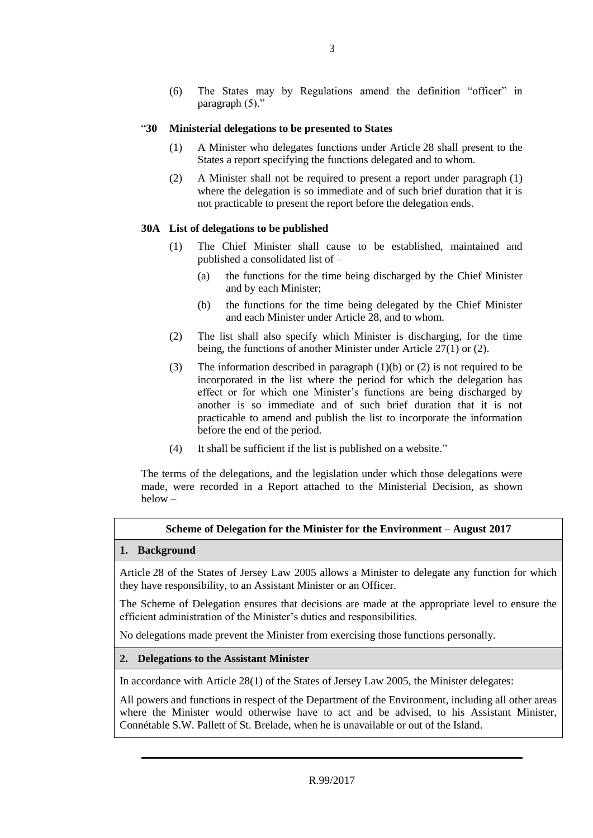(6) The States may by Regulations amend the definition "officer" in paragraph (5)."

### "**30 Ministerial delegations to be presented to States**

- (1) A Minister who delegates functions under Article 28 shall present to the States a report specifying the functions delegated and to whom.
- (2) A Minister shall not be required to present a report under paragraph (1) where the delegation is so immediate and of such brief duration that it is not practicable to present the report before the delegation ends.

#### **30A List of delegations to be published**

- (1) The Chief Minister shall cause to be established, maintained and published a consolidated list of –
	- (a) the functions for the time being discharged by the Chief Minister and by each Minister;
	- (b) the functions for the time being delegated by the Chief Minister and each Minister under Article 28, and to whom.
- (2) The list shall also specify which Minister is discharging, for the time being, the functions of another Minister under Article 27(1) or (2).
- (3) The information described in paragraph (1)(b) or (2) is not required to be incorporated in the list where the period for which the delegation has effect or for which one Minister's functions are being discharged by another is so immediate and of such brief duration that it is not practicable to amend and publish the list to incorporate the information before the end of the period.
- (4) It shall be sufficient if the list is published on a website."

The terms of the delegations, and the legislation under which those delegations were made, were recorded in a Report attached to the Ministerial Decision, as shown below –

# **Scheme of Delegation for the Minister for the Environment – August 2017**

#### **1. Background**

Article 28 of the States of Jersey Law 2005 allows a Minister to delegate any function for which they have responsibility, to an Assistant Minister or an Officer.

The Scheme of Delegation ensures that decisions are made at the appropriate level to ensure the efficient administration of the Minister's duties and responsibilities.

No delegations made prevent the Minister from exercising those functions personally.

#### **2. Delegations to the Assistant Minister**

In accordance with Article 28(1) of the States of Jersey Law 2005, the Minister delegates:

All powers and functions in respect of the Department of the Environment, including all other areas where the Minister would otherwise have to act and be advised, to his Assistant Minister, Connétable S.W. Pallett of St. Brelade, when he is unavailable or out of the Island.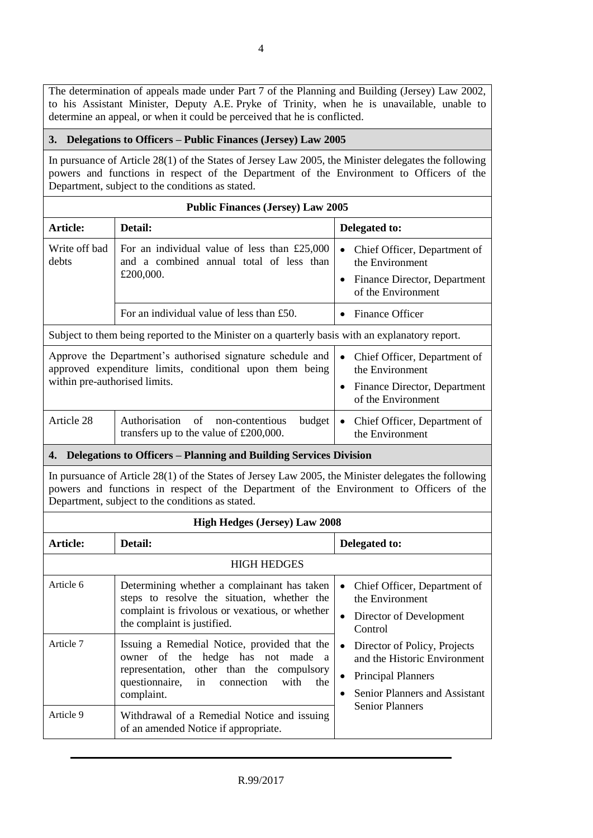The determination of appeals made under Part 7 of the Planning and Building (Jersey) Law 2002, to his Assistant Minister, Deputy A.E. Pryke of Trinity, when he is unavailable, unable to determine an appeal, or when it could be perceived that he is conflicted.

# **3. Delegations to Officers – Public Finances (Jersey) Law 2005**

In pursuance of Article 28(1) of the States of Jersey Law 2005, the Minister delegates the following powers and functions in respect of the Department of the Environment to Officers of the Department, subject to the conditions as stated.

| <b>Public Finances (Jersey) Law 2005</b> |                                                                                                                                                                                                                                                     |                                                                                                                                                                   |  |
|------------------------------------------|-----------------------------------------------------------------------------------------------------------------------------------------------------------------------------------------------------------------------------------------------------|-------------------------------------------------------------------------------------------------------------------------------------------------------------------|--|
| Article:                                 | Detail:                                                                                                                                                                                                                                             | Delegated to:                                                                                                                                                     |  |
| Write off bad<br>debts                   | For an individual value of less than $£25,000$<br>and a combined annual total of less than                                                                                                                                                          | Chief Officer, Department of<br>$\bullet$<br>the Environment                                                                                                      |  |
|                                          | £200,000.                                                                                                                                                                                                                                           | Finance Director, Department<br>$\bullet$<br>of the Environment                                                                                                   |  |
|                                          | For an individual value of less than £50.                                                                                                                                                                                                           | <b>Finance Officer</b><br>$\bullet$                                                                                                                               |  |
|                                          | Subject to them being reported to the Minister on a quarterly basis with an explanatory report.                                                                                                                                                     |                                                                                                                                                                   |  |
|                                          | Approve the Department's authorised signature schedule and<br>approved expenditure limits, conditional upon them being                                                                                                                              | Chief Officer, Department of<br>$\bullet$<br>the Environment                                                                                                      |  |
| within pre-authorised limits.            |                                                                                                                                                                                                                                                     | Finance Director, Department<br>$\bullet$<br>of the Environment                                                                                                   |  |
| Article 28                               | Authorisation<br>of<br>budget<br>non-contentious<br>transfers up to the value of $£200,000$ .                                                                                                                                                       | Chief Officer, Department of<br>$\bullet$<br>the Environment                                                                                                      |  |
|                                          | 4. Delegations to Officers - Planning and Building Services Division                                                                                                                                                                                |                                                                                                                                                                   |  |
|                                          | In pursuance of Article 28(1) of the States of Jersey Law 2005, the Minister delegates the following<br>powers and functions in respect of the Department of the Environment to Officers of the<br>Department, subject to the conditions as stated. |                                                                                                                                                                   |  |
|                                          | <b>High Hedges (Jersey) Law 2008</b>                                                                                                                                                                                                                |                                                                                                                                                                   |  |
| Article:                                 | Detail:                                                                                                                                                                                                                                             | Delegated to:                                                                                                                                                     |  |
|                                          | <b>HIGH HEDGES</b>                                                                                                                                                                                                                                  |                                                                                                                                                                   |  |
| Article 6                                | Determining whether a complainant has taken<br>steps to resolve the situation, whether the<br>complaint is frivolous or vexatious, or whether<br>the complaint is justified.                                                                        | Chief Officer, Department of<br>$\bullet$<br>the Environment<br>Director of Development<br>$\bullet$<br>Control                                                   |  |
| Article 7                                | Issuing a Remedial Notice, provided that the<br>the<br>hedge has not made a<br>of<br>owner<br>representation,<br>other than the<br>compulsory<br>questionnaire,<br>connection<br>with<br>in<br>the<br>complaint.                                    | Director of Policy, Projects<br>and the Historic Environment<br><b>Principal Planners</b><br>$\bullet$<br>Senior Planners and Assistant<br><b>Senior Planners</b> |  |
| Article 9                                | Withdrawal of a Remedial Notice and issuing<br>of an amended Notice if appropriate.                                                                                                                                                                 |                                                                                                                                                                   |  |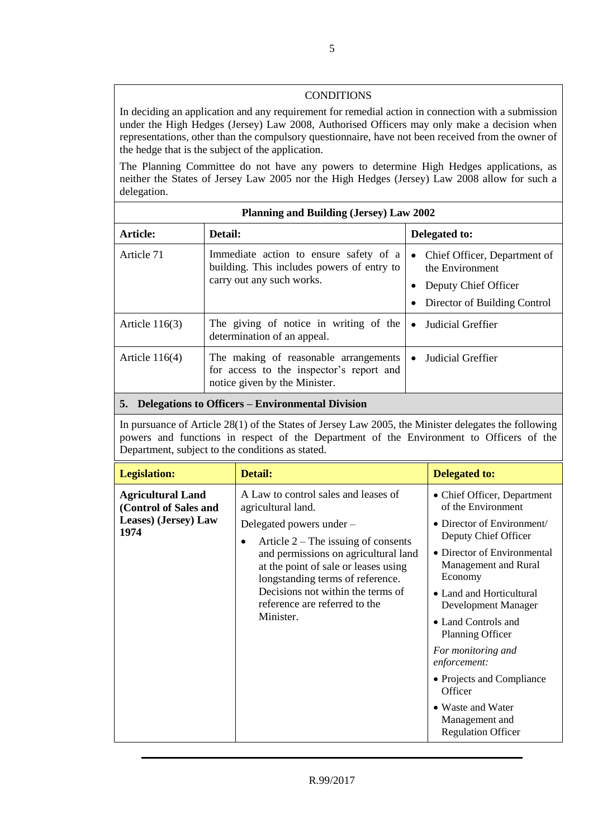# CONDITIONS

In deciding an application and any requirement for remedial action in connection with a submission under the High Hedges (Jersey) Law 2008, Authorised Officers may only make a decision when representations, other than the compulsory questionnaire, have not been received from the owner of the hedge that is the subject of the application.

The Planning Committee do not have any powers to determine High Hedges applications, as neither the States of Jersey Law 2005 nor the High Hedges (Jersey) Law 2008 allow for such a delegation.

| Planning and Building (Jersey) Law 2002             |                                                                                                                    |                                                                                                                      |  |
|-----------------------------------------------------|--------------------------------------------------------------------------------------------------------------------|----------------------------------------------------------------------------------------------------------------------|--|
| Article:                                            | Detail:                                                                                                            | Delegated to:                                                                                                        |  |
| Article 71                                          | Immediate action to ensure safety of a<br>building. This includes powers of entry to<br>carry out any such works.  | Chief Officer, Department of<br>$\bullet$<br>the Environment<br>Deputy Chief Officer<br>Director of Building Control |  |
| Article $116(3)$                                    | The giving of notice in writing of the<br>determination of an appeal.                                              | Judicial Greffier<br>$\bullet$                                                                                       |  |
| Article $116(4)$                                    | The making of reasonable arrangements<br>for access to the inspector's report and<br>notice given by the Minister. | Judicial Greffier                                                                                                    |  |
| 5. Delegations to Officers – Environmental Division |                                                                                                                    |                                                                                                                      |  |

In pursuance of Article 28(1) of the States of Jersey Law 2005, the Minister delegates the following powers and functions in respect of the Department of the Environment to Officers of the Department, subject to the conditions as stated.

| <b>Legislation:</b>                                                               | <b>Detail:</b>                                                                                                                                                                                                                                                                                                                              | <b>Delegated to:</b>                                                                                                                                                                                                                                                                                                                                                                                                      |
|-----------------------------------------------------------------------------------|---------------------------------------------------------------------------------------------------------------------------------------------------------------------------------------------------------------------------------------------------------------------------------------------------------------------------------------------|---------------------------------------------------------------------------------------------------------------------------------------------------------------------------------------------------------------------------------------------------------------------------------------------------------------------------------------------------------------------------------------------------------------------------|
| <b>Agricultural Land</b><br>(Control of Sales and<br>Leases) (Jersey) Law<br>1974 | A Law to control sales and leases of<br>agricultural land.<br>Delegated powers under -<br>Article $2$ – The issuing of consents<br>٠<br>and permissions on agricultural land<br>at the point of sale or leases using<br>longstanding terms of reference.<br>Decisions not within the terms of<br>reference are referred to the<br>Minister. | • Chief Officer, Department<br>of the Environment<br>• Director of Environment/<br>Deputy Chief Officer<br>• Director of Environmental<br>Management and Rural<br>Economy<br>• Land and Horticultural<br>Development Manager<br>• Land Controls and<br>Planning Officer<br>For monitoring and<br>enforcement:<br>• Projects and Compliance<br>Officer<br>• Waste and Water<br>Management and<br><b>Regulation Officer</b> |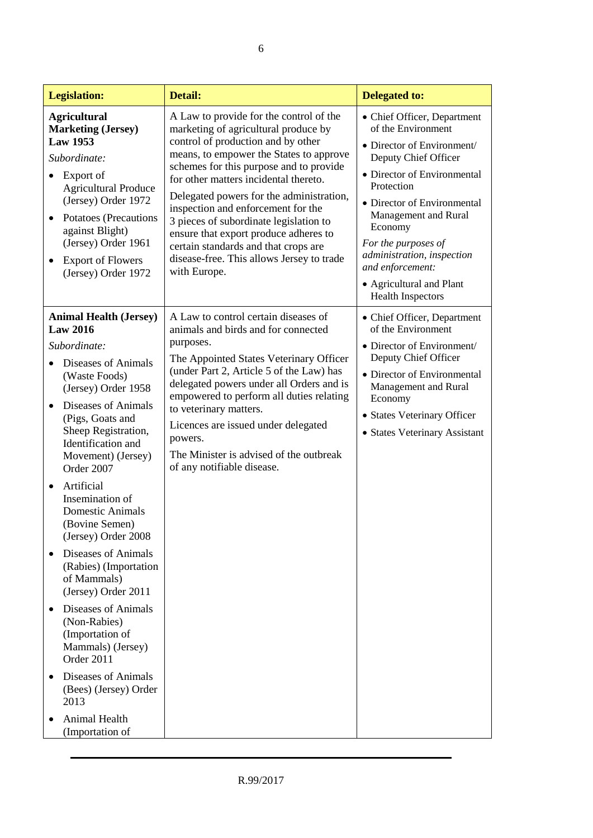| <b>Legislation:</b>                                                                                                                                                                                                                                                                                                                                                                                                                                                                                                                                                                                                                                              | Detail:                                                                                                                                                                                                                                                                                                                                                                                                                                                                                                                        | <b>Delegated to:</b>                                                                                                                                                                                                                                                                                                                                    |
|------------------------------------------------------------------------------------------------------------------------------------------------------------------------------------------------------------------------------------------------------------------------------------------------------------------------------------------------------------------------------------------------------------------------------------------------------------------------------------------------------------------------------------------------------------------------------------------------------------------------------------------------------------------|--------------------------------------------------------------------------------------------------------------------------------------------------------------------------------------------------------------------------------------------------------------------------------------------------------------------------------------------------------------------------------------------------------------------------------------------------------------------------------------------------------------------------------|---------------------------------------------------------------------------------------------------------------------------------------------------------------------------------------------------------------------------------------------------------------------------------------------------------------------------------------------------------|
| <b>Agricultural</b><br><b>Marketing (Jersey)</b><br><b>Law 1953</b><br>Subordinate:<br>Export of<br><b>Agricultural Produce</b><br>(Jersey) Order 1972<br>Potatoes (Precautions<br>against Blight)<br>(Jersey) Order 1961<br><b>Export of Flowers</b><br>(Jersey) Order 1972                                                                                                                                                                                                                                                                                                                                                                                     | A Law to provide for the control of the<br>marketing of agricultural produce by<br>control of production and by other<br>means, to empower the States to approve<br>schemes for this purpose and to provide<br>for other matters incidental thereto.<br>Delegated powers for the administration,<br>inspection and enforcement for the<br>3 pieces of subordinate legislation to<br>ensure that export produce adheres to<br>certain standards and that crops are<br>disease-free. This allows Jersey to trade<br>with Europe. | • Chief Officer, Department<br>of the Environment<br>• Director of Environment/<br>Deputy Chief Officer<br>• Director of Environmental<br>Protection<br>• Director of Environmental<br>Management and Rural<br>Economy<br>For the purposes of<br>administration, inspection<br>and enforcement:<br>• Agricultural and Plant<br><b>Health Inspectors</b> |
| <b>Animal Health (Jersey)</b><br><b>Law 2016</b><br>Subordinate:<br>Diseases of Animals<br>(Waste Foods)<br>(Jersey) Order 1958<br>Diseases of Animals<br>$\bullet$<br>(Pigs, Goats and<br>Sheep Registration,<br>Identification and<br>Movement) (Jersey)<br>Order 2007<br>Artificial<br>$\bullet$<br>Insemination of<br><b>Domestic Animals</b><br>(Bovine Semen)<br>(Jersey) Order 2008<br><b>Diseases of Animals</b><br>(Rabies) (Importation<br>of Mammals)<br>(Jersey) Order 2011<br><b>Diseases of Animals</b><br>(Non-Rabies)<br>(Importation of<br>Mammals) (Jersey)<br>Order 2011<br>Diseases of Animals<br>$\bullet$<br>(Bees) (Jersey) Order<br>2013 | A Law to control certain diseases of<br>animals and birds and for connected<br>purposes.<br>The Appointed States Veterinary Officer<br>(under Part 2, Article 5 of the Law) has<br>delegated powers under all Orders and is<br>empowered to perform all duties relating<br>to veterinary matters.<br>Licences are issued under delegated<br>powers.<br>The Minister is advised of the outbreak<br>of any notifiable disease.                                                                                                   | • Chief Officer, Department<br>of the Environment<br>• Director of Environment/<br>Deputy Chief Officer<br>• Director of Environmental<br>Management and Rural<br>Economy<br>• States Veterinary Officer<br>• States Veterinary Assistant                                                                                                               |
| Animal Health<br>(Importation of                                                                                                                                                                                                                                                                                                                                                                                                                                                                                                                                                                                                                                 |                                                                                                                                                                                                                                                                                                                                                                                                                                                                                                                                |                                                                                                                                                                                                                                                                                                                                                         |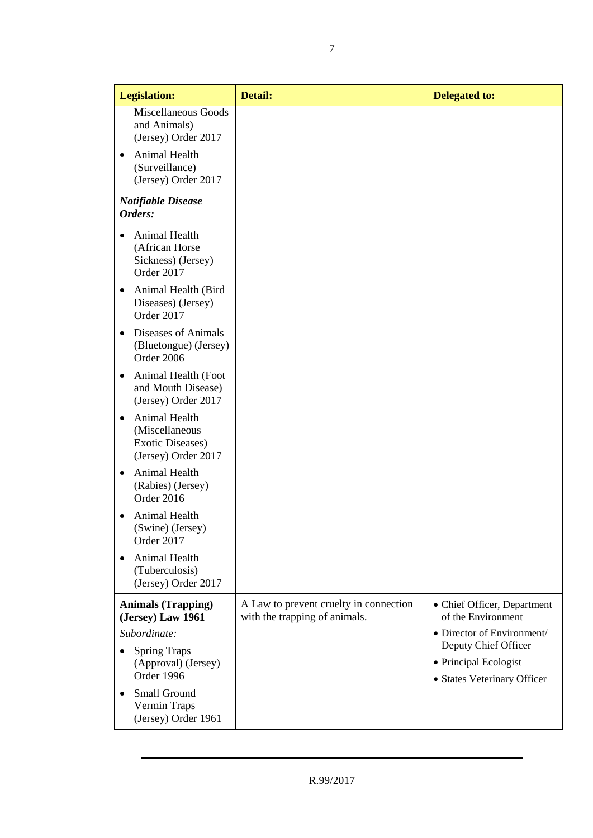| <b>Legislation:</b>                            |                                                                                   | <b>Detail:</b>                                                          | <b>Delegated to:</b>                                 |
|------------------------------------------------|-----------------------------------------------------------------------------------|-------------------------------------------------------------------------|------------------------------------------------------|
|                                                | <b>Miscellaneous Goods</b><br>and Animals)<br>(Jersey) Order 2017                 |                                                                         |                                                      |
|                                                | Animal Health<br>(Surveillance)<br>(Jersey) Order 2017                            |                                                                         |                                                      |
|                                                | <b>Notifiable Disease</b><br>Orders:                                              |                                                                         |                                                      |
|                                                | Animal Health<br>(African Horse<br>Sickness) (Jersey)<br>Order 2017               |                                                                         |                                                      |
| ٠                                              | Animal Health (Bird<br>Diseases) (Jersey)<br>Order 2017                           |                                                                         |                                                      |
| $\bullet$                                      | Diseases of Animals<br>(Bluetongue) (Jersey)<br>Order 2006                        |                                                                         |                                                      |
| ٠                                              | Animal Health (Foot<br>and Mouth Disease)<br>(Jersey) Order 2017                  |                                                                         |                                                      |
| ٠                                              | Animal Health<br>(Miscellaneous<br><b>Exotic Diseases)</b><br>(Jersey) Order 2017 |                                                                         |                                                      |
|                                                | Animal Health<br>(Rabies) (Jersey)<br>Order 2016                                  |                                                                         |                                                      |
|                                                | Animal Health<br>(Swine) (Jersey)<br>Order 2017                                   |                                                                         |                                                      |
|                                                | Animal Health<br>(Tuberculosis)<br>(Jersey) Order 2017                            |                                                                         |                                                      |
| <b>Animals (Trapping)</b><br>(Jersey) Law 1961 |                                                                                   | A Law to prevent cruelty in connection<br>with the trapping of animals. | • Chief Officer, Department<br>of the Environment    |
|                                                | Subordinate:                                                                      |                                                                         | • Director of Environment/<br>Deputy Chief Officer   |
|                                                | <b>Spring Traps</b><br>(Approval) (Jersey)<br>Order 1996                          |                                                                         | • Principal Ecologist<br>• States Veterinary Officer |
|                                                | Small Ground<br>Vermin Traps<br>(Jersey) Order 1961                               |                                                                         |                                                      |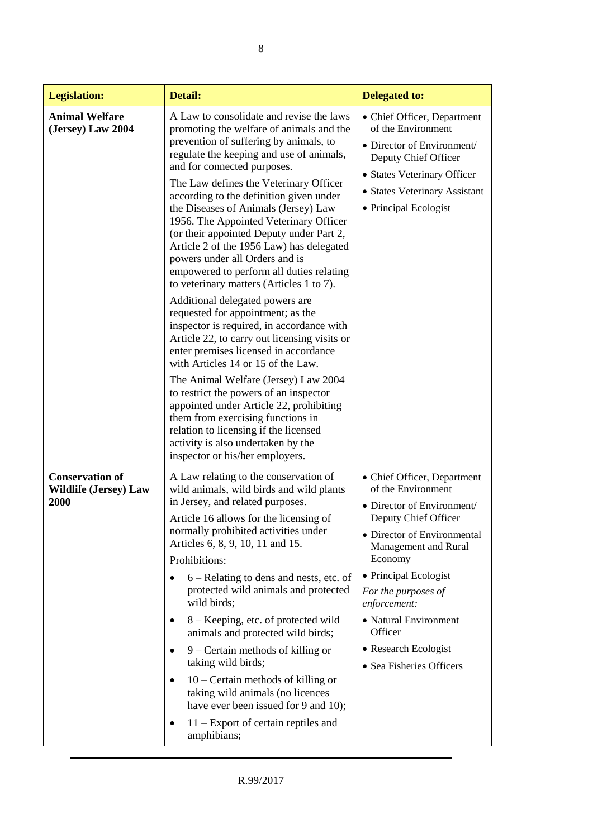| <b>Legislation:</b>                                            | Detail:                                                                                                                                                                                                                                                                                                                                                                                                                                                                                                                                                                                                                                                                                                                                                                                                                                                                                                                                                                                                                                                                                                                                    | <b>Delegated to:</b>                                                                                                                                                                                                                                                                                                              |
|----------------------------------------------------------------|--------------------------------------------------------------------------------------------------------------------------------------------------------------------------------------------------------------------------------------------------------------------------------------------------------------------------------------------------------------------------------------------------------------------------------------------------------------------------------------------------------------------------------------------------------------------------------------------------------------------------------------------------------------------------------------------------------------------------------------------------------------------------------------------------------------------------------------------------------------------------------------------------------------------------------------------------------------------------------------------------------------------------------------------------------------------------------------------------------------------------------------------|-----------------------------------------------------------------------------------------------------------------------------------------------------------------------------------------------------------------------------------------------------------------------------------------------------------------------------------|
| <b>Animal Welfare</b><br>(Jersey) Law 2004                     | A Law to consolidate and revise the laws<br>promoting the welfare of animals and the<br>prevention of suffering by animals, to<br>regulate the keeping and use of animals,<br>and for connected purposes.<br>The Law defines the Veterinary Officer<br>according to the definition given under<br>the Diseases of Animals (Jersey) Law<br>1956. The Appointed Veterinary Officer<br>(or their appointed Deputy under Part 2,<br>Article 2 of the 1956 Law) has delegated<br>powers under all Orders and is<br>empowered to perform all duties relating<br>to veterinary matters (Articles 1 to 7).<br>Additional delegated powers are<br>requested for appointment; as the<br>inspector is required, in accordance with<br>Article 22, to carry out licensing visits or<br>enter premises licensed in accordance<br>with Articles 14 or 15 of the Law.<br>The Animal Welfare (Jersey) Law 2004<br>to restrict the powers of an inspector<br>appointed under Article 22, prohibiting<br>them from exercising functions in<br>relation to licensing if the licensed<br>activity is also undertaken by the<br>inspector or his/her employers. | • Chief Officer, Department<br>of the Environment<br>• Director of Environment/<br>Deputy Chief Officer<br>• States Veterinary Officer<br>• States Veterinary Assistant<br>• Principal Ecologist                                                                                                                                  |
| <b>Conservation of</b><br><b>Wildlife (Jersey) Law</b><br>2000 | A Law relating to the conservation of<br>wild animals, wild birds and wild plants<br>in Jersey, and related purposes.<br>Article 16 allows for the licensing of<br>normally prohibited activities under<br>Articles 6, 8, 9, 10, 11 and 15.<br>Prohibitions:<br>6 – Relating to dens and nests, etc. of<br>protected wild animals and protected<br>wild birds;<br>8 - Keeping, etc. of protected wild<br>٠<br>animals and protected wild birds;<br>$9 -$ Certain methods of killing or<br>taking wild birds;<br>$10$ – Certain methods of killing or<br>$\bullet$<br>taking wild animals (no licences<br>have ever been issued for 9 and 10);<br>$11 -$ Export of certain reptiles and<br>amphibians;                                                                                                                                                                                                                                                                                                                                                                                                                                      | • Chief Officer, Department<br>of the Environment<br>• Director of Environment/<br>Deputy Chief Officer<br>• Director of Environmental<br>Management and Rural<br>Economy<br>• Principal Ecologist<br>For the purposes of<br>enforcement:<br>• Natural Environment<br>Officer<br>• Research Ecologist<br>• Sea Fisheries Officers |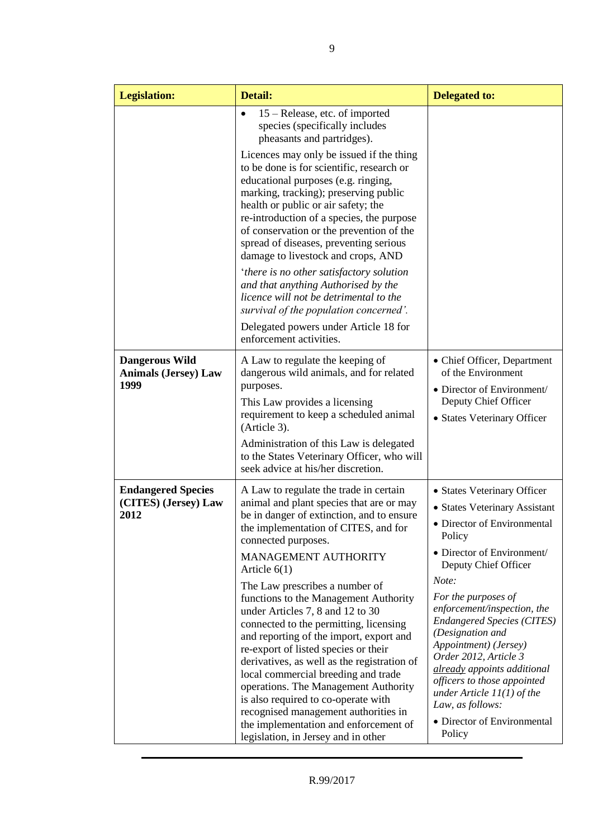| <b>Legislation:</b>                                          | Detail:                                                                                                                                                                                                                                                                                                                                                                                                                                                                                                                                                                                                                                                                                                                                                                           | <b>Delegated to:</b>                                                                                                                                                                                                                                                                                                                                                                                                                                                                             |
|--------------------------------------------------------------|-----------------------------------------------------------------------------------------------------------------------------------------------------------------------------------------------------------------------------------------------------------------------------------------------------------------------------------------------------------------------------------------------------------------------------------------------------------------------------------------------------------------------------------------------------------------------------------------------------------------------------------------------------------------------------------------------------------------------------------------------------------------------------------|--------------------------------------------------------------------------------------------------------------------------------------------------------------------------------------------------------------------------------------------------------------------------------------------------------------------------------------------------------------------------------------------------------------------------------------------------------------------------------------------------|
|                                                              | 15 – Release, etc. of imported<br>$\bullet$<br>species (specifically includes<br>pheasants and partridges).<br>Licences may only be issued if the thing<br>to be done is for scientific, research or<br>educational purposes (e.g. ringing,<br>marking, tracking); preserving public<br>health or public or air safety; the<br>re-introduction of a species, the purpose<br>of conservation or the prevention of the<br>spread of diseases, preventing serious<br>damage to livestock and crops, AND<br>'there is no other satisfactory solution<br>and that anything Authorised by the<br>licence will not be detrimental to the<br>survival of the population concerned'.<br>Delegated powers under Article 18 for<br>enforcement activities.                                   |                                                                                                                                                                                                                                                                                                                                                                                                                                                                                                  |
| <b>Dangerous Wild</b><br><b>Animals (Jersey) Law</b><br>1999 | A Law to regulate the keeping of<br>dangerous wild animals, and for related<br>purposes.<br>This Law provides a licensing<br>requirement to keep a scheduled animal<br>(Article 3).<br>Administration of this Law is delegated<br>to the States Veterinary Officer, who will<br>seek advice at his/her discretion.                                                                                                                                                                                                                                                                                                                                                                                                                                                                | • Chief Officer, Department<br>of the Environment<br>• Director of Environment/<br>Deputy Chief Officer<br>• States Veterinary Officer                                                                                                                                                                                                                                                                                                                                                           |
| <b>Endangered Species</b><br>(CITES) (Jersey) Law<br>2012    | A Law to regulate the trade in certain<br>animal and plant species that are or may<br>be in danger of extinction, and to ensure<br>the implementation of CITES, and for<br>connected purposes.<br>MANAGEMENT AUTHORITY<br>Article $6(1)$<br>The Law prescribes a number of<br>functions to the Management Authority<br>under Articles 7, 8 and 12 to 30<br>connected to the permitting, licensing<br>and reporting of the import, export and<br>re-export of listed species or their<br>derivatives, as well as the registration of<br>local commercial breeding and trade<br>operations. The Management Authority<br>is also required to co-operate with<br>recognised management authorities in<br>the implementation and enforcement of<br>legislation, in Jersey and in other | • States Veterinary Officer<br>• States Veterinary Assistant<br>• Director of Environmental<br>Policy<br>• Director of Environment/<br>Deputy Chief Officer<br>Note:<br>For the purposes of<br>enforcement/inspection, the<br><b>Endangered Species (CITES)</b><br>(Designation and<br>Appointment) (Jersey)<br>Order 2012, Article 3<br>already appoints additional<br>officers to those appointed<br>under Article $11(1)$ of the<br>Law, as follows:<br>• Director of Environmental<br>Policy |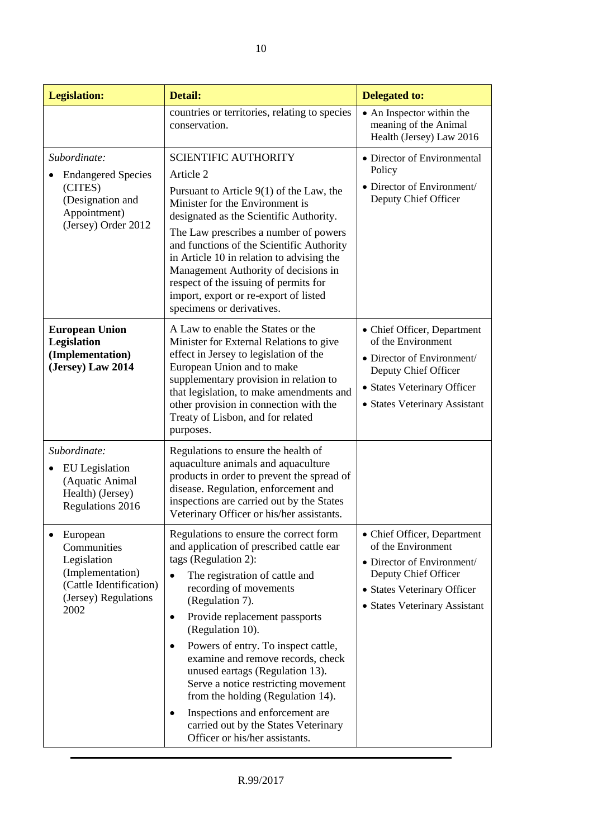| <b>Legislation:</b>                                                                                                   | Detail:                                                                                                                                                                                                                                                                                                                                                                                                                                                                                                                                                                                                    | <b>Delegated to:</b>                                                                                                                                                    |
|-----------------------------------------------------------------------------------------------------------------------|------------------------------------------------------------------------------------------------------------------------------------------------------------------------------------------------------------------------------------------------------------------------------------------------------------------------------------------------------------------------------------------------------------------------------------------------------------------------------------------------------------------------------------------------------------------------------------------------------------|-------------------------------------------------------------------------------------------------------------------------------------------------------------------------|
|                                                                                                                       | countries or territories, relating to species<br>conservation.                                                                                                                                                                                                                                                                                                                                                                                                                                                                                                                                             | • An Inspector within the<br>meaning of the Animal<br>Health (Jersey) Law 2016                                                                                          |
| Subordinate:<br><b>Endangered Species</b><br>(CITES)<br>(Designation and<br>Appointment)<br>(Jersey) Order 2012       | <b>SCIENTIFIC AUTHORITY</b><br>Article 2<br>Pursuant to Article $9(1)$ of the Law, the<br>Minister for the Environment is<br>designated as the Scientific Authority.<br>The Law prescribes a number of powers<br>and functions of the Scientific Authority<br>in Article 10 in relation to advising the<br>Management Authority of decisions in<br>respect of the issuing of permits for<br>import, export or re-export of listed<br>specimens or derivatives.                                                                                                                                             | • Director of Environmental<br>Policy<br>• Director of Environment/<br>Deputy Chief Officer                                                                             |
| <b>European Union</b><br>Legislation<br>(Implementation)<br>(Jersey) Law 2014                                         | A Law to enable the States or the<br>Minister for External Relations to give<br>effect in Jersey to legislation of the<br>European Union and to make<br>supplementary provision in relation to<br>that legislation, to make amendments and<br>other provision in connection with the<br>Treaty of Lisbon, and for related<br>purposes.                                                                                                                                                                                                                                                                     | • Chief Officer, Department<br>of the Environment<br>• Director of Environment/<br>Deputy Chief Officer<br>• States Veterinary Officer<br>• States Veterinary Assistant |
| Subordinate:<br>EU Legislation<br>(Aquatic Animal<br>Health) (Jersey)<br>Regulations 2016                             | Regulations to ensure the health of<br>aquaculture animals and aquaculture<br>products in order to prevent the spread of<br>disease. Regulation, enforcement and<br>inspections are carried out by the States<br>Veterinary Officer or his/her assistants.                                                                                                                                                                                                                                                                                                                                                 |                                                                                                                                                                         |
| European<br>Communities<br>Legislation<br>(Implementation)<br>(Cattle Identification)<br>(Jersey) Regulations<br>2002 | Regulations to ensure the correct form<br>and application of prescribed cattle ear<br>tags (Regulation 2):<br>The registration of cattle and<br>$\bullet$<br>recording of movements<br>(Regulation 7).<br>Provide replacement passports<br>$\bullet$<br>(Regulation 10).<br>Powers of entry. To inspect cattle,<br>$\bullet$<br>examine and remove records, check<br>unused eartags (Regulation 13).<br>Serve a notice restricting movement<br>from the holding (Regulation 14).<br>Inspections and enforcement are<br>$\bullet$<br>carried out by the States Veterinary<br>Officer or his/her assistants. | • Chief Officer, Department<br>of the Environment<br>• Director of Environment/<br>Deputy Chief Officer<br>• States Veterinary Officer<br>• States Veterinary Assistant |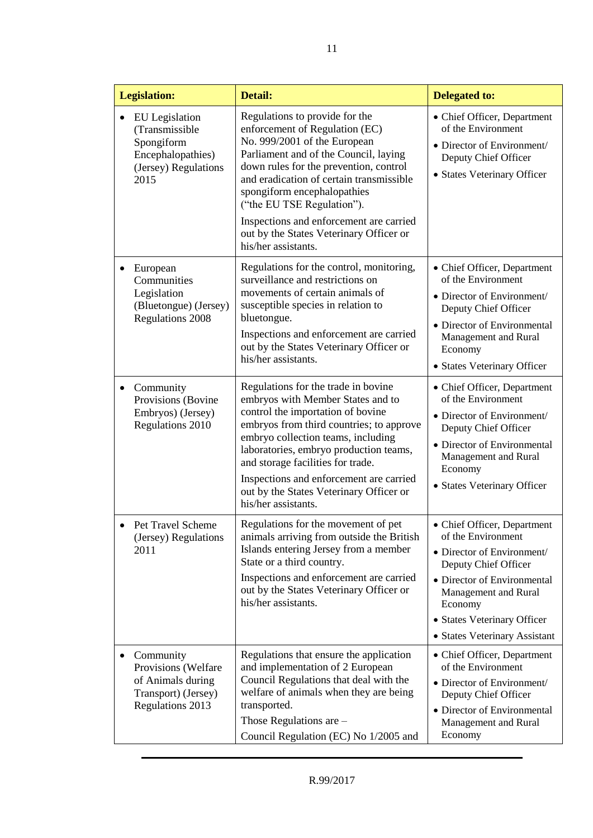|           | <b>Legislation:</b>                                                                                        | <b>Detail:</b>                                                                                                                                                                                                                                                                                                                                                                                            | <b>Delegated to:</b>                                                                                                                                                                                                                      |
|-----------|------------------------------------------------------------------------------------------------------------|-----------------------------------------------------------------------------------------------------------------------------------------------------------------------------------------------------------------------------------------------------------------------------------------------------------------------------------------------------------------------------------------------------------|-------------------------------------------------------------------------------------------------------------------------------------------------------------------------------------------------------------------------------------------|
|           | <b>EU</b> Legislation<br>(Transmissible<br>Spongiform<br>Encephalopathies)<br>(Jersey) Regulations<br>2015 | Regulations to provide for the<br>enforcement of Regulation (EC)<br>No. 999/2001 of the European<br>Parliament and of the Council, laying<br>down rules for the prevention, control<br>and eradication of certain transmissible<br>spongiform encephalopathies<br>("the EU TSE Regulation").<br>Inspections and enforcement are carried<br>out by the States Veterinary Officer or<br>his/her assistants. | • Chief Officer, Department<br>of the Environment<br>• Director of Environment/<br>Deputy Chief Officer<br>• States Veterinary Officer                                                                                                    |
|           | European<br>Communities<br>Legislation<br>(Bluetongue) (Jersey)<br><b>Regulations 2008</b>                 | Regulations for the control, monitoring,<br>surveillance and restrictions on<br>movements of certain animals of<br>susceptible species in relation to<br>bluetongue.<br>Inspections and enforcement are carried<br>out by the States Veterinary Officer or<br>his/her assistants.                                                                                                                         | • Chief Officer, Department<br>of the Environment<br>• Director of Environment/<br>Deputy Chief Officer<br>• Director of Environmental<br>Management and Rural<br>Economy<br>• States Veterinary Officer                                  |
| $\bullet$ | Community<br>Provisions (Bovine<br>Embryos) (Jersey)<br>Regulations 2010                                   | Regulations for the trade in bovine<br>embryos with Member States and to<br>control the importation of bovine<br>embryos from third countries; to approve<br>embryo collection teams, including<br>laboratories, embryo production teams,<br>and storage facilities for trade.<br>Inspections and enforcement are carried<br>out by the States Veterinary Officer or<br>his/her assistants.               | • Chief Officer, Department<br>of the Environment<br>• Director of Environment/<br>Deputy Chief Officer<br>• Director of Environmental<br>Management and Rural<br>Economy<br>• States Veterinary Officer                                  |
|           | Pet Travel Scheme<br>(Jersey) Regulations<br>2011                                                          | Regulations for the movement of pet<br>animals arriving from outside the British<br>Islands entering Jersey from a member<br>State or a third country.<br>Inspections and enforcement are carried<br>out by the States Veterinary Officer or<br>his/her assistants.                                                                                                                                       | • Chief Officer, Department<br>of the Environment<br>• Director of Environment/<br>Deputy Chief Officer<br>• Director of Environmental<br>Management and Rural<br>Economy<br>• States Veterinary Officer<br>• States Veterinary Assistant |
| ٠         | Community<br>Provisions (Welfare<br>of Animals during<br>Transport) (Jersey)<br><b>Regulations 2013</b>    | Regulations that ensure the application<br>and implementation of 2 European<br>Council Regulations that deal with the<br>welfare of animals when they are being<br>transported.<br>Those Regulations are $-$<br>Council Regulation (EC) No 1/2005 and                                                                                                                                                     | • Chief Officer, Department<br>of the Environment<br>• Director of Environment/<br>Deputy Chief Officer<br>• Director of Environmental<br>Management and Rural<br>Economy                                                                 |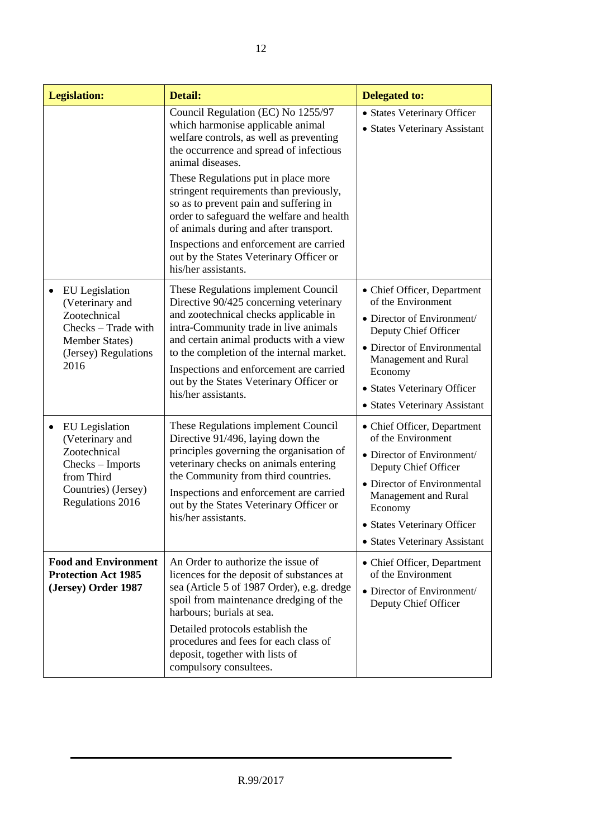| <b>Legislation:</b>                                                                                                                   | <b>Detail:</b>                                                                                                                                                                                                                                                                                                                                                                                                                                                                                                    | <b>Delegated to:</b>                                                                                                                                                                                                                      |
|---------------------------------------------------------------------------------------------------------------------------------------|-------------------------------------------------------------------------------------------------------------------------------------------------------------------------------------------------------------------------------------------------------------------------------------------------------------------------------------------------------------------------------------------------------------------------------------------------------------------------------------------------------------------|-------------------------------------------------------------------------------------------------------------------------------------------------------------------------------------------------------------------------------------------|
|                                                                                                                                       | Council Regulation (EC) No 1255/97<br>which harmonise applicable animal<br>welfare controls, as well as preventing<br>the occurrence and spread of infectious<br>animal diseases.<br>These Regulations put in place more<br>stringent requirements than previously,<br>so as to prevent pain and suffering in<br>order to safeguard the welfare and health<br>of animals during and after transport.<br>Inspections and enforcement are carried<br>out by the States Veterinary Officer or<br>his/her assistants. | • States Veterinary Officer<br>• States Veterinary Assistant                                                                                                                                                                              |
| <b>EU</b> Legislation<br>(Veterinary and<br>Zootechnical<br>Checks - Trade with<br>Member States)<br>(Jersey) Regulations<br>2016     | These Regulations implement Council<br>Directive 90/425 concerning veterinary<br>and zootechnical checks applicable in<br>intra-Community trade in live animals<br>and certain animal products with a view<br>to the completion of the internal market.<br>Inspections and enforcement are carried<br>out by the States Veterinary Officer or<br>his/her assistants.                                                                                                                                              | • Chief Officer, Department<br>of the Environment<br>• Director of Environment/<br>Deputy Chief Officer<br>• Director of Environmental<br>Management and Rural<br>Economy<br>• States Veterinary Officer<br>• States Veterinary Assistant |
| <b>EU</b> Legislation<br>(Veterinary and<br>Zootechnical<br>Checks - Imports<br>from Third<br>Countries) (Jersey)<br>Regulations 2016 | These Regulations implement Council<br>Directive 91/496, laying down the<br>principles governing the organisation of<br>veterinary checks on animals entering<br>the Community from third countries.<br>Inspections and enforcement are carried<br>out by the States Veterinary Officer or<br>his/her assistants.                                                                                                                                                                                                 | • Chief Officer, Department<br>of the Environment<br>• Director of Environment/<br>Deputy Chief Officer<br>• Director of Environmental<br>Management and Rural<br>Economy<br>• States Veterinary Officer<br>• States Veterinary Assistant |
| <b>Food and Environment</b><br><b>Protection Act 1985</b><br>(Jersey) Order 1987                                                      | An Order to authorize the issue of<br>licences for the deposit of substances at<br>sea (Article 5 of 1987 Order), e.g. dredge<br>spoil from maintenance dredging of the<br>harbours; burials at sea.<br>Detailed protocols establish the<br>procedures and fees for each class of<br>deposit, together with lists of<br>compulsory consultees.                                                                                                                                                                    | • Chief Officer, Department<br>of the Environment<br>• Director of Environment/<br>Deputy Chief Officer                                                                                                                                   |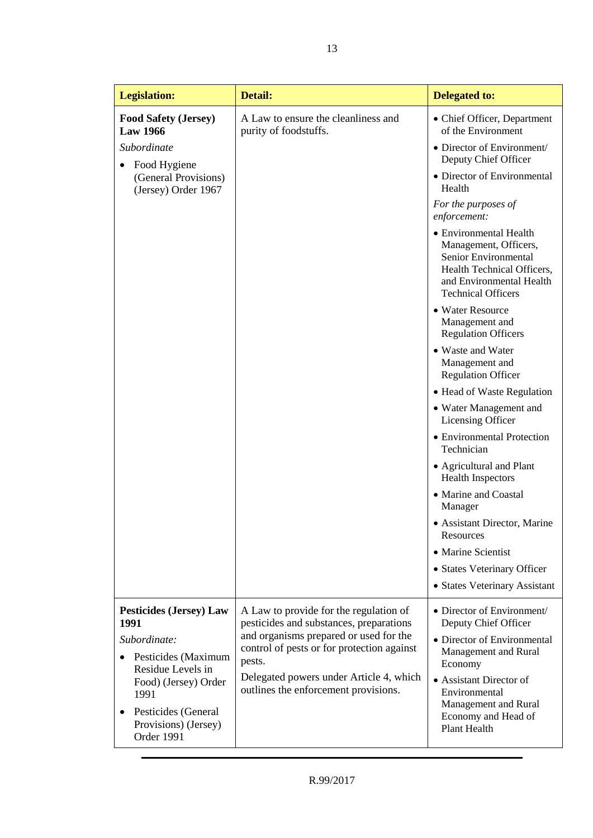| <b>Legislation:</b>                                         | <b>Detail:</b>                                                                    | <b>Delegated to:</b>                                                                                                                                           |
|-------------------------------------------------------------|-----------------------------------------------------------------------------------|----------------------------------------------------------------------------------------------------------------------------------------------------------------|
| <b>Food Safety (Jersey)</b><br><b>Law 1966</b>              | A Law to ensure the cleanliness and<br>purity of foodstuffs.                      | • Chief Officer, Department<br>of the Environment                                                                                                              |
| Subordinate                                                 |                                                                                   | • Director of Environment/<br>Deputy Chief Officer                                                                                                             |
| Food Hygiene<br>(General Provisions)<br>(Jersey) Order 1967 |                                                                                   | • Director of Environmental<br>Health                                                                                                                          |
|                                                             |                                                                                   | For the purposes of<br>enforcement:                                                                                                                            |
|                                                             |                                                                                   | • Environmental Health<br>Management, Officers,<br>Senior Environmental<br>Health Technical Officers,<br>and Environmental Health<br><b>Technical Officers</b> |
|                                                             |                                                                                   | • Water Resource<br>Management and<br><b>Regulation Officers</b>                                                                                               |
|                                                             |                                                                                   | • Waste and Water<br>Management and<br><b>Regulation Officer</b>                                                                                               |
|                                                             |                                                                                   | • Head of Waste Regulation                                                                                                                                     |
|                                                             |                                                                                   | • Water Management and<br>Licensing Officer                                                                                                                    |
|                                                             |                                                                                   | • Environmental Protection<br>Technician                                                                                                                       |
|                                                             |                                                                                   | • Agricultural and Plant<br><b>Health Inspectors</b>                                                                                                           |
|                                                             |                                                                                   | • Marine and Coastal<br>Manager                                                                                                                                |
|                                                             |                                                                                   | • Assistant Director, Marine<br>Resources                                                                                                                      |
|                                                             |                                                                                   | • Marine Scientist                                                                                                                                             |
|                                                             |                                                                                   | • States Veterinary Officer                                                                                                                                    |
|                                                             |                                                                                   | • States Veterinary Assistant                                                                                                                                  |
| <b>Pesticides (Jersey) Law</b><br>1991                      | A Law to provide for the regulation of<br>pesticides and substances, preparations | • Director of Environment/<br>Deputy Chief Officer                                                                                                             |
| Subordinate:                                                | and organisms prepared or used for the                                            | • Director of Environmental                                                                                                                                    |
| Pesticides (Maximum                                         | control of pests or for protection against<br>pests.                              | Management and Rural<br>Economy                                                                                                                                |
| Residue Levels in<br>Food) (Jersey) Order<br>1991           | Delegated powers under Article 4, which<br>outlines the enforcement provisions.   | • Assistant Director of<br>Environmental                                                                                                                       |
| Pesticides (General<br>Provisions) (Jersey)<br>Order 1991   |                                                                                   | Management and Rural<br>Economy and Head of<br>Plant Health                                                                                                    |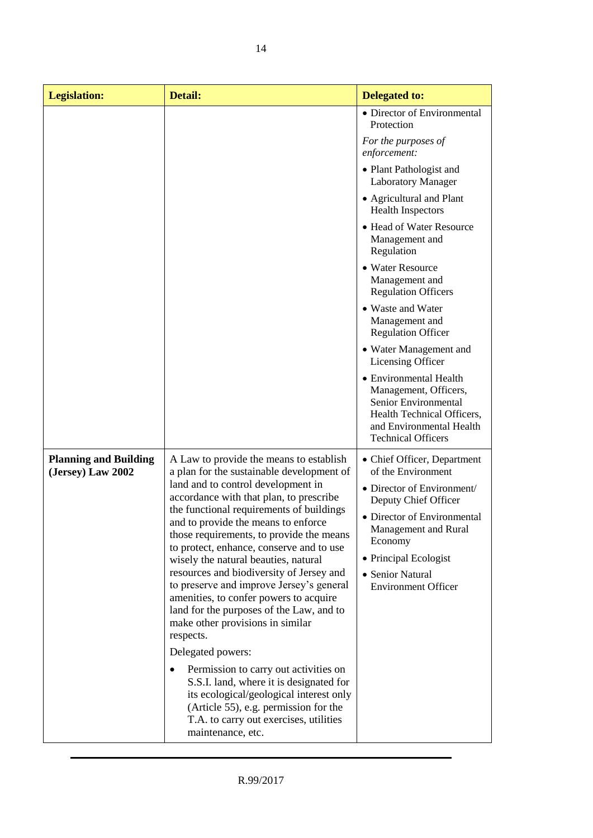| <b>Legislation:</b>                               | <b>Detail:</b>                                                                                                                                                                                                                                                                                                                                                                                                                                                                                                                                                                                                                                                                        | <b>Delegated to:</b>                                                                                                                                                                                                                                 |
|---------------------------------------------------|---------------------------------------------------------------------------------------------------------------------------------------------------------------------------------------------------------------------------------------------------------------------------------------------------------------------------------------------------------------------------------------------------------------------------------------------------------------------------------------------------------------------------------------------------------------------------------------------------------------------------------------------------------------------------------------|------------------------------------------------------------------------------------------------------------------------------------------------------------------------------------------------------------------------------------------------------|
|                                                   |                                                                                                                                                                                                                                                                                                                                                                                                                                                                                                                                                                                                                                                                                       | • Director of Environmental<br>Protection<br>For the purposes of<br>enforcement:                                                                                                                                                                     |
|                                                   |                                                                                                                                                                                                                                                                                                                                                                                                                                                                                                                                                                                                                                                                                       | • Plant Pathologist and<br><b>Laboratory Manager</b>                                                                                                                                                                                                 |
|                                                   |                                                                                                                                                                                                                                                                                                                                                                                                                                                                                                                                                                                                                                                                                       | • Agricultural and Plant<br><b>Health Inspectors</b>                                                                                                                                                                                                 |
|                                                   |                                                                                                                                                                                                                                                                                                                                                                                                                                                                                                                                                                                                                                                                                       | • Head of Water Resource<br>Management and<br>Regulation                                                                                                                                                                                             |
|                                                   |                                                                                                                                                                                                                                                                                                                                                                                                                                                                                                                                                                                                                                                                                       | • Water Resource<br>Management and<br><b>Regulation Officers</b>                                                                                                                                                                                     |
|                                                   |                                                                                                                                                                                                                                                                                                                                                                                                                                                                                                                                                                                                                                                                                       | • Waste and Water<br>Management and<br><b>Regulation Officer</b>                                                                                                                                                                                     |
|                                                   |                                                                                                                                                                                                                                                                                                                                                                                                                                                                                                                                                                                                                                                                                       | • Water Management and<br>Licensing Officer                                                                                                                                                                                                          |
|                                                   |                                                                                                                                                                                                                                                                                                                                                                                                                                                                                                                                                                                                                                                                                       | • Environmental Health<br>Management, Officers,<br>Senior Environmental<br>Health Technical Officers,<br>and Environmental Health<br><b>Technical Officers</b>                                                                                       |
| <b>Planning and Building</b><br>(Jersey) Law 2002 | A Law to provide the means to establish<br>a plan for the sustainable development of<br>land and to control development in<br>accordance with that plan, to prescribe<br>the functional requirements of buildings<br>and to provide the means to enforce<br>those requirements, to provide the means<br>to protect, enhance, conserve and to use<br>wisely the natural beauties, natural<br>resources and biodiversity of Jersey and<br>to preserve and improve Jersey's general<br>amenities, to confer powers to acquire<br>land for the purposes of the Law, and to<br>make other provisions in similar<br>respects.<br>Delegated powers:<br>Permission to carry out activities on | • Chief Officer, Department<br>of the Environment<br>• Director of Environment/<br>Deputy Chief Officer<br>• Director of Environmental<br>Management and Rural<br>Economy<br>• Principal Ecologist<br>• Senior Natural<br><b>Environment Officer</b> |
|                                                   | S.S.I. land, where it is designated for<br>its ecological/geological interest only<br>(Article 55), e.g. permission for the<br>T.A. to carry out exercises, utilities<br>maintenance, etc.                                                                                                                                                                                                                                                                                                                                                                                                                                                                                            |                                                                                                                                                                                                                                                      |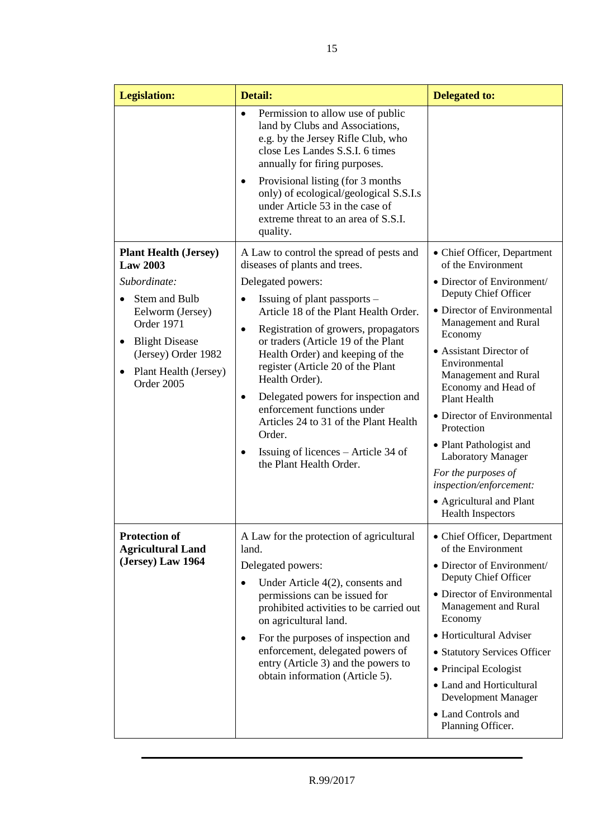| <b>Legislation:</b>                                                                                                                                                                                       | Detail:                                                                                                                                                                                                                                                                                                                                                                                                                                                                                                                                                                | <b>Delegated to:</b>                                                                                                                                                                                                                                                                                                                                                                                                                                                           |
|-----------------------------------------------------------------------------------------------------------------------------------------------------------------------------------------------------------|------------------------------------------------------------------------------------------------------------------------------------------------------------------------------------------------------------------------------------------------------------------------------------------------------------------------------------------------------------------------------------------------------------------------------------------------------------------------------------------------------------------------------------------------------------------------|--------------------------------------------------------------------------------------------------------------------------------------------------------------------------------------------------------------------------------------------------------------------------------------------------------------------------------------------------------------------------------------------------------------------------------------------------------------------------------|
|                                                                                                                                                                                                           | Permission to allow use of public<br>$\bullet$<br>land by Clubs and Associations,<br>e.g. by the Jersey Rifle Club, who<br>close Les Landes S.S.I. 6 times<br>annually for firing purposes.<br>Provisional listing (for 3 months<br>٠<br>only) of ecological/geological S.S.I.s<br>under Article 53 in the case of<br>extreme threat to an area of S.S.I.<br>quality.                                                                                                                                                                                                  |                                                                                                                                                                                                                                                                                                                                                                                                                                                                                |
| <b>Plant Health (Jersey)</b><br><b>Law 2003</b><br>Subordinate:<br>Stem and Bulb<br>Eelworm (Jersey)<br>Order 1971<br><b>Blight Disease</b><br>(Jersey) Order 1982<br>Plant Health (Jersey)<br>Order 2005 | A Law to control the spread of pests and<br>diseases of plants and trees.<br>Delegated powers:<br>Issuing of plant passports –<br>Article 18 of the Plant Health Order.<br>Registration of growers, propagators<br>$\bullet$<br>or traders (Article 19 of the Plant<br>Health Order) and keeping of the<br>register (Article 20 of the Plant<br>Health Order).<br>Delegated powers for inspection and<br>$\bullet$<br>enforcement functions under<br>Articles 24 to 31 of the Plant Health<br>Order.<br>Issuing of licences – Article 34 of<br>the Plant Health Order. | • Chief Officer, Department<br>of the Environment<br>• Director of Environment/<br>Deputy Chief Officer<br>• Director of Environmental<br>Management and Rural<br>Economy<br>• Assistant Director of<br>Environmental<br>Management and Rural<br>Economy and Head of<br><b>Plant Health</b><br>• Director of Environmental<br>Protection<br>• Plant Pathologist and<br><b>Laboratory Manager</b><br>For the purposes of<br>inspection/enforcement:<br>• Agricultural and Plant |
| <b>Protection of</b><br><b>Agricultural Land</b><br>(Jersey) Law 1964                                                                                                                                     | A Law for the protection of agricultural<br>land.<br>Delegated powers:<br>Under Article $4(2)$ , consents and<br>$\bullet$<br>permissions can be issued for<br>prohibited activities to be carried out<br>on agricultural land.<br>For the purposes of inspection and<br>enforcement, delegated powers of<br>entry (Article 3) and the powers to<br>obtain information (Article 5).                                                                                                                                                                                    | <b>Health Inspectors</b><br>• Chief Officer, Department<br>of the Environment<br>• Director of Environment/<br>Deputy Chief Officer<br>• Director of Environmental<br>Management and Rural<br>Economy<br>• Horticultural Adviser<br>• Statutory Services Officer<br>• Principal Ecologist<br>• Land and Horticultural<br>Development Manager<br>• Land Controls and<br>Planning Officer.                                                                                       |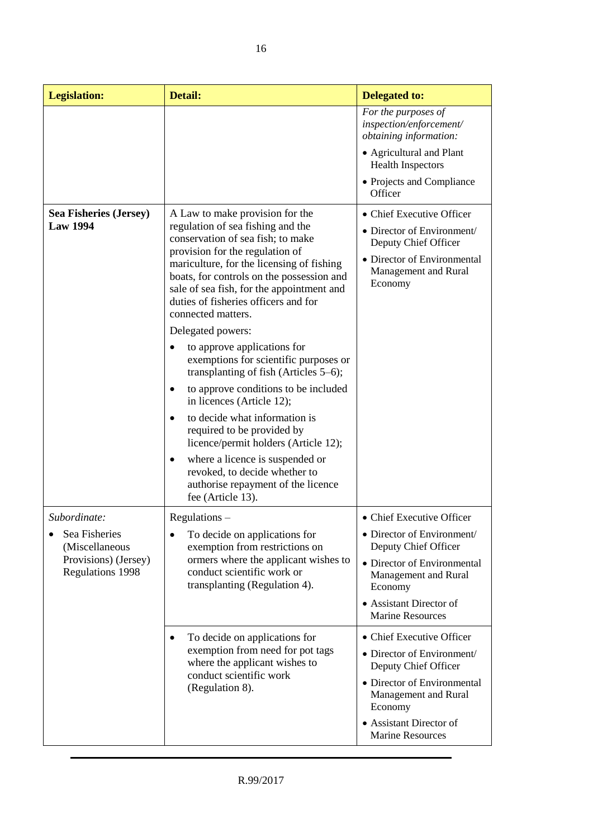| <b>Legislation:</b>                                                                             | Detail:                                                                                                                                                                                                                                                                                                                                                                | <b>Delegated to:</b>                                                                                                                                                                                    |
|-------------------------------------------------------------------------------------------------|------------------------------------------------------------------------------------------------------------------------------------------------------------------------------------------------------------------------------------------------------------------------------------------------------------------------------------------------------------------------|---------------------------------------------------------------------------------------------------------------------------------------------------------------------------------------------------------|
|                                                                                                 |                                                                                                                                                                                                                                                                                                                                                                        | For the purposes of<br>inspection/enforcement/<br>obtaining information:                                                                                                                                |
|                                                                                                 |                                                                                                                                                                                                                                                                                                                                                                        | • Agricultural and Plant<br><b>Health Inspectors</b>                                                                                                                                                    |
|                                                                                                 |                                                                                                                                                                                                                                                                                                                                                                        | • Projects and Compliance<br>Officer                                                                                                                                                                    |
| <b>Sea Fisheries (Jersey)</b><br><b>Law 1994</b>                                                | A Law to make provision for the<br>regulation of sea fishing and the<br>conservation of sea fish; to make<br>provision for the regulation of<br>mariculture, for the licensing of fishing<br>boats, for controls on the possession and<br>sale of sea fish, for the appointment and<br>duties of fisheries officers and for<br>connected matters.<br>Delegated powers: | • Chief Executive Officer<br>• Director of Environment/<br>Deputy Chief Officer<br>• Director of Environmental<br>Management and Rural<br>Economy                                                       |
|                                                                                                 | to approve applications for<br>exemptions for scientific purposes or<br>transplanting of fish (Articles 5–6);                                                                                                                                                                                                                                                          |                                                                                                                                                                                                         |
|                                                                                                 | to approve conditions to be included<br>in licences (Article 12);                                                                                                                                                                                                                                                                                                      |                                                                                                                                                                                                         |
|                                                                                                 | to decide what information is<br>$\bullet$<br>required to be provided by<br>licence/permit holders (Article 12);                                                                                                                                                                                                                                                       |                                                                                                                                                                                                         |
|                                                                                                 | where a licence is suspended or<br>٠<br>revoked, to decide whether to<br>authorise repayment of the licence<br>fee (Article 13).                                                                                                                                                                                                                                       |                                                                                                                                                                                                         |
| Subordinate:                                                                                    | $Regularions -$                                                                                                                                                                                                                                                                                                                                                        | • Chief Executive Officer                                                                                                                                                                               |
| Sea Fisheries<br>$\bullet$<br>(Miscellaneous<br>Provisions) (Jersey)<br><b>Regulations 1998</b> | To decide on applications for<br>exemption from restrictions on                                                                                                                                                                                                                                                                                                        | • Director of Environment/<br>Deputy Chief Officer                                                                                                                                                      |
|                                                                                                 | ormers where the applicant wishes to<br>conduct scientific work or<br>transplanting (Regulation 4).                                                                                                                                                                                                                                                                    | • Director of Environmental<br>Management and Rural<br>Economy                                                                                                                                          |
|                                                                                                 |                                                                                                                                                                                                                                                                                                                                                                        | • Assistant Director of<br><b>Marine Resources</b>                                                                                                                                                      |
|                                                                                                 | To decide on applications for<br>٠<br>exemption from need for pot tags<br>where the applicant wishes to<br>conduct scientific work<br>(Regulation 8).                                                                                                                                                                                                                  | • Chief Executive Officer<br>• Director of Environment/<br>Deputy Chief Officer<br>• Director of Environmental<br>Management and Rural<br>Economy<br>• Assistant Director of<br><b>Marine Resources</b> |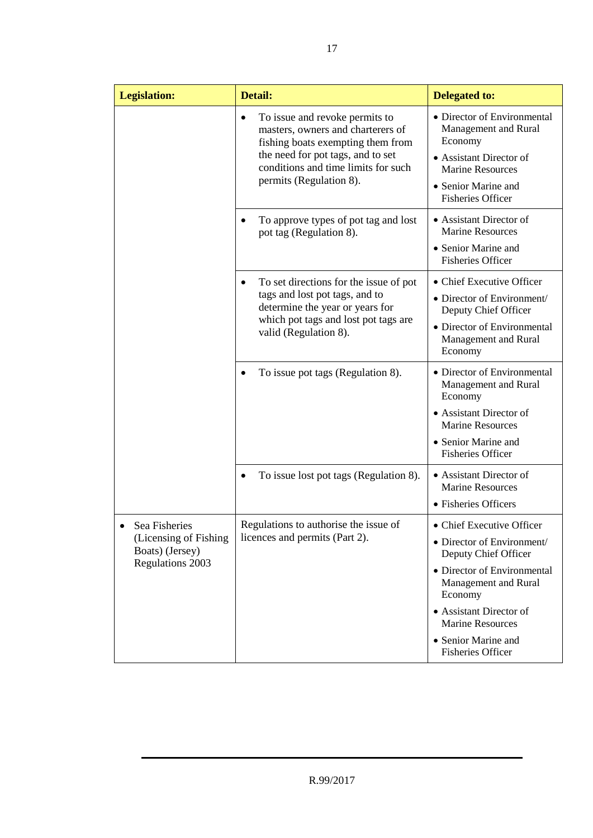| <b>Legislation:</b>                                           | <b>Detail:</b>                                                                                                                                                                                                               | <b>Delegated to:</b>                                                                                                                        |
|---------------------------------------------------------------|------------------------------------------------------------------------------------------------------------------------------------------------------------------------------------------------------------------------------|---------------------------------------------------------------------------------------------------------------------------------------------|
|                                                               | To issue and revoke permits to<br>$\bullet$<br>masters, owners and charterers of<br>fishing boats exempting them from<br>the need for pot tags, and to set<br>conditions and time limits for such<br>permits (Regulation 8). | • Director of Environmental<br>Management and Rural<br>Economy<br>• Assistant Director of<br><b>Marine Resources</b><br>• Senior Marine and |
|                                                               |                                                                                                                                                                                                                              | <b>Fisheries Officer</b>                                                                                                                    |
|                                                               | To approve types of pot tag and lost<br>pot tag (Regulation 8).                                                                                                                                                              | • Assistant Director of<br><b>Marine Resources</b>                                                                                          |
|                                                               |                                                                                                                                                                                                                              | • Senior Marine and<br><b>Fisheries Officer</b>                                                                                             |
|                                                               | To set directions for the issue of pot                                                                                                                                                                                       | • Chief Executive Officer                                                                                                                   |
|                                                               | tags and lost pot tags, and to<br>determine the year or years for<br>which pot tags and lost pot tags are<br>valid (Regulation 8).                                                                                           | • Director of Environment/<br>Deputy Chief Officer                                                                                          |
|                                                               |                                                                                                                                                                                                                              | • Director of Environmental<br>Management and Rural<br>Economy                                                                              |
|                                                               | To issue pot tags (Regulation 8).                                                                                                                                                                                            | • Director of Environmental<br>Management and Rural<br>Economy                                                                              |
|                                                               |                                                                                                                                                                                                                              | • Assistant Director of<br><b>Marine Resources</b>                                                                                          |
|                                                               |                                                                                                                                                                                                                              | • Senior Marine and<br><b>Fisheries Officer</b>                                                                                             |
|                                                               | To issue lost pot tags (Regulation 8).                                                                                                                                                                                       | • Assistant Director of<br><b>Marine Resources</b>                                                                                          |
|                                                               |                                                                                                                                                                                                                              | • Fisheries Officers                                                                                                                        |
| Sea Fisheries                                                 | Regulations to authorise the issue of                                                                                                                                                                                        | • Chief Executive Officer                                                                                                                   |
| (Licensing of Fishing)<br>Boats) (Jersey)<br>Regulations 2003 | licences and permits (Part 2).                                                                                                                                                                                               | • Director of Environment/<br>Deputy Chief Officer                                                                                          |
|                                                               |                                                                                                                                                                                                                              | • Director of Environmental<br>Management and Rural<br>Economy                                                                              |
|                                                               |                                                                                                                                                                                                                              | • Assistant Director of<br><b>Marine Resources</b>                                                                                          |
|                                                               |                                                                                                                                                                                                                              | • Senior Marine and<br><b>Fisheries Officer</b>                                                                                             |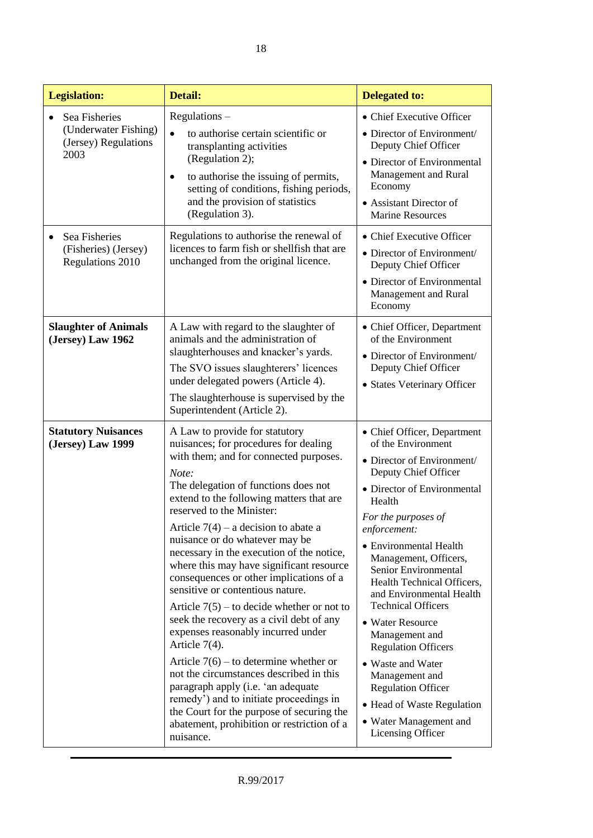| <b>Legislation:</b>                                                   | Detail:                                                                                                                                                                                                                                                                                                                                                                                                                                                                                                                                                                                                                                                                                                                                                                                                                                                                                                                               | <b>Delegated to:</b>                                                                                                                                                                                                                                                                                                                                                                                                                                                                                                                                                           |
|-----------------------------------------------------------------------|---------------------------------------------------------------------------------------------------------------------------------------------------------------------------------------------------------------------------------------------------------------------------------------------------------------------------------------------------------------------------------------------------------------------------------------------------------------------------------------------------------------------------------------------------------------------------------------------------------------------------------------------------------------------------------------------------------------------------------------------------------------------------------------------------------------------------------------------------------------------------------------------------------------------------------------|--------------------------------------------------------------------------------------------------------------------------------------------------------------------------------------------------------------------------------------------------------------------------------------------------------------------------------------------------------------------------------------------------------------------------------------------------------------------------------------------------------------------------------------------------------------------------------|
| Sea Fisheries<br>(Underwater Fishing)<br>(Jersey) Regulations<br>2003 | $Regularions -$<br>$\bullet$<br>to authorise certain scientific or<br>transplanting activities<br>(Regulation 2);<br>to authorise the issuing of permits,<br>$\bullet$<br>setting of conditions, fishing periods,<br>and the provision of statistics<br>(Regulation 3).                                                                                                                                                                                                                                                                                                                                                                                                                                                                                                                                                                                                                                                               | • Chief Executive Officer<br>• Director of Environment/<br>Deputy Chief Officer<br>• Director of Environmental<br>Management and Rural<br>Economy<br>• Assistant Director of<br><b>Marine Resources</b>                                                                                                                                                                                                                                                                                                                                                                        |
| Sea Fisheries<br>(Fisheries) (Jersey)<br>Regulations 2010             | Regulations to authorise the renewal of<br>licences to farm fish or shellfish that are<br>unchanged from the original licence.                                                                                                                                                                                                                                                                                                                                                                                                                                                                                                                                                                                                                                                                                                                                                                                                        | • Chief Executive Officer<br>• Director of Environment/<br>Deputy Chief Officer<br>• Director of Environmental<br>Management and Rural<br>Economy                                                                                                                                                                                                                                                                                                                                                                                                                              |
| <b>Slaughter of Animals</b><br>(Jersey) Law 1962                      | A Law with regard to the slaughter of<br>animals and the administration of<br>slaughterhouses and knacker's yards.<br>The SVO issues slaughterers' licences<br>under delegated powers (Article 4).<br>The slaughterhouse is supervised by the<br>Superintendent (Article 2).                                                                                                                                                                                                                                                                                                                                                                                                                                                                                                                                                                                                                                                          | • Chief Officer, Department<br>of the Environment<br>• Director of Environment/<br>Deputy Chief Officer<br>• States Veterinary Officer                                                                                                                                                                                                                                                                                                                                                                                                                                         |
| <b>Statutory Nuisances</b><br>(Jersey) Law 1999                       | A Law to provide for statutory<br>nuisances; for procedures for dealing<br>with them; and for connected purposes.<br>Note:<br>The delegation of functions does not<br>extend to the following matters that are<br>reserved to the Minister:<br>Article $7(4)$ – a decision to abate a<br>nuisance or do whatever may be<br>necessary in the execution of the notice,<br>where this may have significant resource<br>consequences or other implications of a<br>sensitive or contentious nature.<br>Article $7(5)$ – to decide whether or not to<br>seek the recovery as a civil debt of any<br>expenses reasonably incurred under<br>Article $7(4)$ .<br>Article $7(6)$ – to determine whether or<br>not the circumstances described in this<br>paragraph apply (i.e. 'an adequate<br>remedy') and to initiate proceedings in<br>the Court for the purpose of securing the<br>abatement, prohibition or restriction of a<br>nuisance. | • Chief Officer, Department<br>of the Environment<br>• Director of Environment/<br>Deputy Chief Officer<br>• Director of Environmental<br>Health<br>For the purposes of<br>enforcement:<br>• Environmental Health<br>Management, Officers,<br>Senior Environmental<br>Health Technical Officers,<br>and Environmental Health<br><b>Technical Officers</b><br>• Water Resource<br>Management and<br><b>Regulation Officers</b><br>• Waste and Water<br>Management and<br><b>Regulation Officer</b><br>• Head of Waste Regulation<br>• Water Management and<br>Licensing Officer |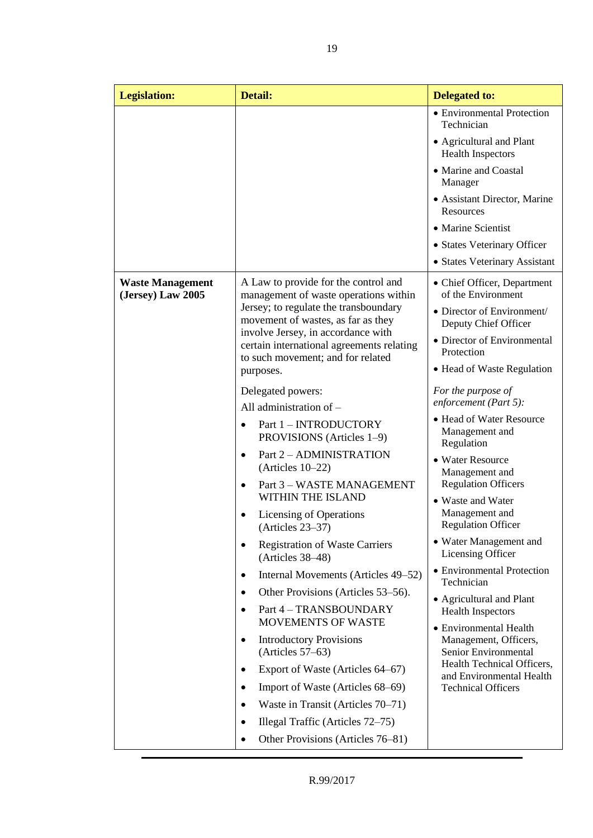| <b>Legislation:</b>                          | <b>Detail:</b>                                                                                                       | <b>Delegated to:</b>                                     |
|----------------------------------------------|----------------------------------------------------------------------------------------------------------------------|----------------------------------------------------------|
|                                              |                                                                                                                      | • Environmental Protection<br>Technician                 |
|                                              |                                                                                                                      | • Agricultural and Plant<br><b>Health Inspectors</b>     |
|                                              |                                                                                                                      | • Marine and Coastal<br>Manager                          |
|                                              |                                                                                                                      | • Assistant Director, Marine<br>Resources                |
|                                              |                                                                                                                      | • Marine Scientist                                       |
|                                              |                                                                                                                      | • States Veterinary Officer                              |
|                                              |                                                                                                                      | • States Veterinary Assistant                            |
| <b>Waste Management</b><br>(Jersey) Law 2005 | A Law to provide for the control and<br>management of waste operations within                                        | • Chief Officer, Department<br>of the Environment        |
|                                              | Jersey; to regulate the transboundary<br>movement of wastes, as far as they                                          | • Director of Environment/<br>Deputy Chief Officer       |
|                                              | involve Jersey, in accordance with<br>certain international agreements relating<br>to such movement; and for related | • Director of Environmental<br>Protection                |
|                                              | purposes.                                                                                                            | • Head of Waste Regulation                               |
|                                              | Delegated powers:<br>All administration of -                                                                         | For the purpose of<br>enforcement (Part 5):              |
|                                              | Part 1 - INTRODUCTORY<br>PROVISIONS (Articles 1–9)                                                                   | • Head of Water Resource<br>Management and<br>Regulation |
|                                              | Part 2 - ADMINISTRATION<br>$\bullet$<br>(Articles $10-22$ )                                                          | • Water Resource<br>Management and                       |
|                                              | Part 3 - WASTE MANAGEMENT<br>$\bullet$<br><b>WITHIN THE ISLAND</b>                                                   | <b>Regulation Officers</b><br>• Waste and Water          |
|                                              | Licensing of Operations<br>$(Articles 23-37)$                                                                        | Management and<br><b>Regulation Officer</b>              |
|                                              | <b>Registration of Waste Carriers</b><br>٠<br>$(Articles 38-48)$                                                     | • Water Management and<br><b>Licensing Officer</b>       |
|                                              | Internal Movements (Articles 49–52)<br>٠                                                                             | • Environmental Protection<br>Technician                 |
|                                              | Other Provisions (Articles 53–56).                                                                                   | • Agricultural and Plant                                 |
|                                              | Part 4 - TRANSBOUNDARY<br>$\bullet$<br><b>MOVEMENTS OF WASTE</b>                                                     | Health Inspectors<br>• Environmental Health              |
|                                              | <b>Introductory Provisions</b><br>٠<br>$(Articles 57-63)$                                                            | Management, Officers,<br>Senior Environmental            |
|                                              | Export of Waste (Articles 64–67)                                                                                     | Health Technical Officers,<br>and Environmental Health   |
|                                              | Import of Waste (Articles 68–69)<br>٠                                                                                | <b>Technical Officers</b>                                |
|                                              | Waste in Transit (Articles 70–71)<br>٠                                                                               |                                                          |
|                                              | Illegal Traffic (Articles 72–75)<br>٠                                                                                |                                                          |
|                                              | Other Provisions (Articles 76–81)<br>$\bullet$                                                                       |                                                          |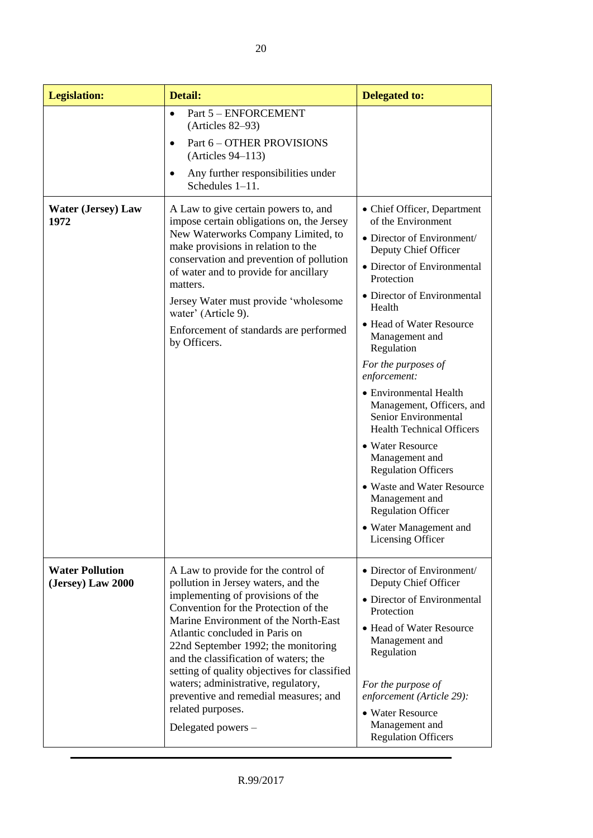| <b>Legislation:</b>                         | Detail:                                                                                                                                                                                                                                                                                                                                                                                                                                                                                      | <b>Delegated to:</b>                                                                                                                                                                                                                                                                                                                                                                                                                                                                                                                                                                                                |
|---------------------------------------------|----------------------------------------------------------------------------------------------------------------------------------------------------------------------------------------------------------------------------------------------------------------------------------------------------------------------------------------------------------------------------------------------------------------------------------------------------------------------------------------------|---------------------------------------------------------------------------------------------------------------------------------------------------------------------------------------------------------------------------------------------------------------------------------------------------------------------------------------------------------------------------------------------------------------------------------------------------------------------------------------------------------------------------------------------------------------------------------------------------------------------|
|                                             | Part 5 - ENFORCEMENT<br>$\bullet$<br>(Articles 82–93)<br>Part 6 - OTHER PROVISIONS<br>$\bullet$<br>(Articles 94–113)<br>Any further responsibilities under<br>Schedules 1-11.                                                                                                                                                                                                                                                                                                                |                                                                                                                                                                                                                                                                                                                                                                                                                                                                                                                                                                                                                     |
| <b>Water (Jersey) Law</b><br>1972           | A Law to give certain powers to, and<br>impose certain obligations on, the Jersey<br>New Waterworks Company Limited, to<br>make provisions in relation to the<br>conservation and prevention of pollution<br>of water and to provide for ancillary<br>matters.<br>Jersey Water must provide 'wholesome<br>water' (Article 9).<br>Enforcement of standards are performed<br>by Officers.                                                                                                      | • Chief Officer, Department<br>of the Environment<br>• Director of Environment/<br>Deputy Chief Officer<br>• Director of Environmental<br>Protection<br>• Director of Environmental<br>Health<br>• Head of Water Resource<br>Management and<br>Regulation<br>For the purposes of<br>enforcement:<br>• Environmental Health<br>Management, Officers, and<br>Senior Environmental<br><b>Health Technical Officers</b><br>• Water Resource<br>Management and<br><b>Regulation Officers</b><br>• Waste and Water Resource<br>Management and<br><b>Regulation Officer</b><br>• Water Management and<br>Licensing Officer |
| <b>Water Pollution</b><br>(Jersey) Law 2000 | A Law to provide for the control of<br>pollution in Jersey waters, and the<br>implementing of provisions of the<br>Convention for the Protection of the<br>Marine Environment of the North-East<br>Atlantic concluded in Paris on<br>22nd September 1992; the monitoring<br>and the classification of waters; the<br>setting of quality objectives for classified<br>waters; administrative, regulatory,<br>preventive and remedial measures; and<br>related purposes.<br>Delegated powers - | • Director of Environment/<br>Deputy Chief Officer<br>• Director of Environmental<br>Protection<br>• Head of Water Resource<br>Management and<br>Regulation<br>For the purpose of<br>enforcement (Article 29):<br>• Water Resource<br>Management and<br><b>Regulation Officers</b>                                                                                                                                                                                                                                                                                                                                  |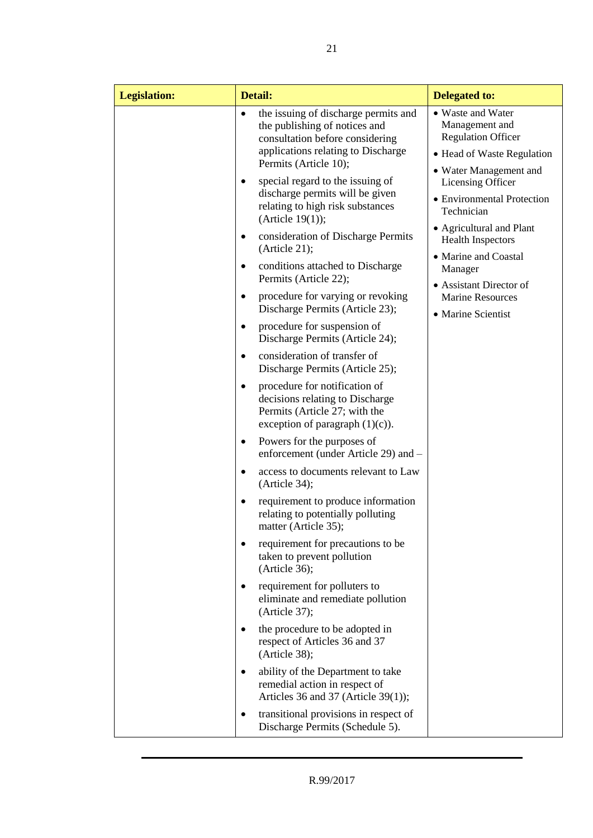| <b>Legislation:</b> | Detail:                                                                                                                                                                              | <b>Delegated to:</b>                                                                                                                                                                                                                                                                                                                       |
|---------------------|--------------------------------------------------------------------------------------------------------------------------------------------------------------------------------------|--------------------------------------------------------------------------------------------------------------------------------------------------------------------------------------------------------------------------------------------------------------------------------------------------------------------------------------------|
|                     | the issuing of discharge permits and<br>$\bullet$<br>the publishing of notices and<br>consultation before considering<br>applications relating to Discharge<br>Permits (Article 10); | • Waste and Water<br>Management and<br><b>Regulation Officer</b><br>• Head of Waste Regulation<br>• Water Management and<br>Licensing Officer<br>• Environmental Protection<br>Technician<br>• Agricultural and Plant<br><b>Health Inspectors</b><br>• Marine and Coastal<br>Manager<br>• Assistant Director of<br><b>Marine Resources</b> |
|                     | special regard to the issuing of<br>discharge permits will be given<br>relating to high risk substances<br>(Article $19(1)$ );<br>consideration of Discharge Permits<br>٠            |                                                                                                                                                                                                                                                                                                                                            |
|                     | (Article 21);<br>conditions attached to Discharge<br>$\bullet$<br>Permits (Article 22);<br>procedure for varying or revoking<br>$\bullet$<br>Discharge Permits (Article 23);         |                                                                                                                                                                                                                                                                                                                                            |
|                     | procedure for suspension of<br>$\bullet$<br>Discharge Permits (Article 24);                                                                                                          | • Marine Scientist                                                                                                                                                                                                                                                                                                                         |
|                     | consideration of transfer of<br>$\bullet$<br>Discharge Permits (Article 25);                                                                                                         |                                                                                                                                                                                                                                                                                                                                            |
|                     | procedure for notification of<br>$\bullet$<br>decisions relating to Discharge<br>Permits (Article 27; with the<br>exception of paragraph $(1)(c)$ ).                                 |                                                                                                                                                                                                                                                                                                                                            |
|                     | Powers for the purposes of<br>٠<br>enforcement (under Article 29) and -                                                                                                              |                                                                                                                                                                                                                                                                                                                                            |
|                     | access to documents relevant to Law<br>٠<br>(Article 34);                                                                                                                            |                                                                                                                                                                                                                                                                                                                                            |
|                     | requirement to produce information<br>$\bullet$<br>relating to potentially polluting<br>matter (Article 35);                                                                         |                                                                                                                                                                                                                                                                                                                                            |
|                     | requirement for precautions to be<br>taken to prevent pollution<br>(Article 36);                                                                                                     |                                                                                                                                                                                                                                                                                                                                            |
|                     | requirement for polluters to<br>eliminate and remediate pollution<br>(Article 37);                                                                                                   |                                                                                                                                                                                                                                                                                                                                            |
|                     | the procedure to be adopted in<br>respect of Articles 36 and 37<br>(Article 38);                                                                                                     |                                                                                                                                                                                                                                                                                                                                            |
|                     | ability of the Department to take<br>٠<br>remedial action in respect of<br>Articles 36 and 37 (Article 39(1));                                                                       |                                                                                                                                                                                                                                                                                                                                            |
|                     | transitional provisions in respect of<br>٠<br>Discharge Permits (Schedule 5).                                                                                                        |                                                                                                                                                                                                                                                                                                                                            |